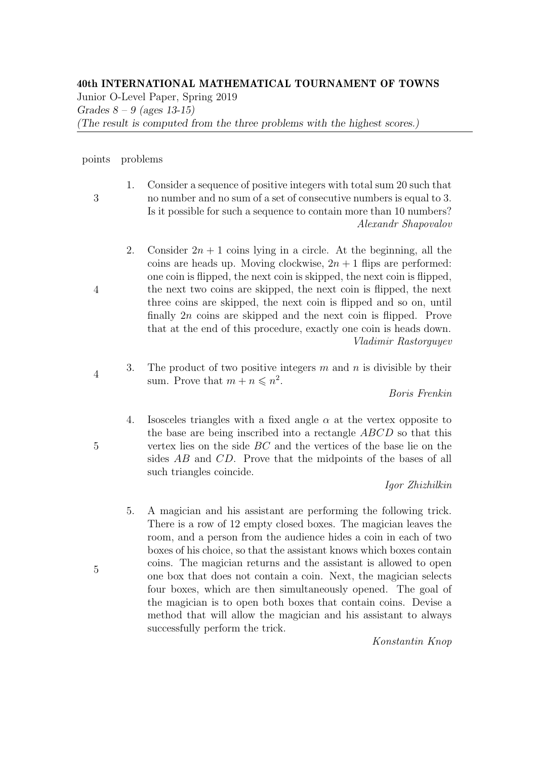## 40th INTERNATIONAL MATHEMATICAL TOURNAMENT OF TOWNS

Junior O-Level Paper, Spring 2019 Grades  $8 - 9$  (ages 13-15) (The result is computed from the three problems with the highest scores.)

## points problems

3

4

4

5

- 1. Consider a sequence of positive integers with total sum 20 such that
- no number and no sum of a set of consecutive numbers is equal to 3. Is it possible for such a sequence to contain more than 10 numbers? Alexandr Shapovalov
- 2. Consider  $2n + 1$  coins lying in a circle. At the beginning, all the coins are heads up. Moving clockwise,  $2n + 1$  flips are performed: one coin is flipped, the next coin is skipped, the next coin is flipped, the next two coins are skipped, the next coin is flipped, the next three coins are skipped, the next coin is flipped and so on, until finally 2n coins are skipped and the next coin is flipped. Prove that at the end of this procedure, exactly one coin is heads down. Vladimir Rastorguyev
- 3. The product of two positive integers  $m$  and  $n$  is divisible by their sum. Prove that  $m + n \leq n^2$ .

Boris Frenkin

4. Isosceles triangles with a fixed angle  $\alpha$  at the vertex opposite to the base are being inscribed into a rectangle ABCD so that this vertex lies on the side BC and the vertices of the base lie on the sides AB and CD. Prove that the midpoints of the bases of all such triangles coincide.

Igor Zhizhilkin

5. A magician and his assistant are performing the following trick. There is a row of 12 empty closed boxes. The magician leaves the room, and a person from the audience hides a coin in each of two boxes of his choice, so that the assistant knows which boxes contain coins. The magician returns and the assistant is allowed to open one box that does not contain a coin. Next, the magician selects four boxes, which are then simultaneously opened. The goal of the magician is to open both boxes that contain coins. Devise a method that will allow the magician and his assistant to always successfully perform the trick.

Konstantin Knop

5